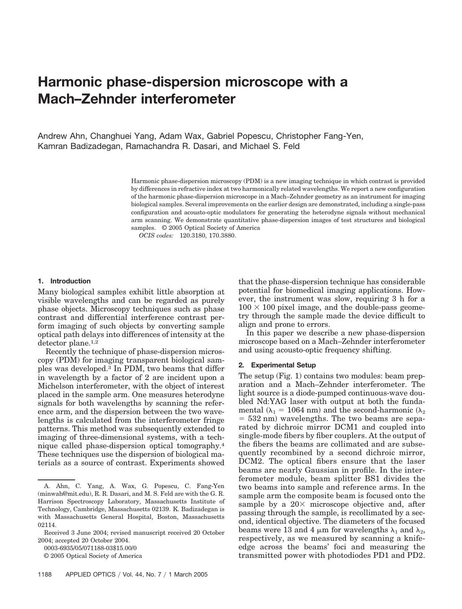# **Harmonic phase-dispersion microscope with a Mach–Zehnder interferometer**

Andrew Ahn, Changhuei Yang, Adam Wax, Gabriel Popescu, Christopher Fang-Yen, Kamran Badizadegan, Ramachandra R. Dasari, and Michael S. Feld

> Harmonic phase-dispersion microscopy (PDM) is a new imaging technique in which contrast is provided by differences in refractive index at two harmonically related wavelengths. We report a new configuration of the harmonic phase-dispersion microscope in a Mach–Zehnder geometry as an instrument for imaging biological samples. Several improvements on the earlier design are demonstrated, including a single-pass configuration and acousto-optic modulators for generating the heterodyne signals without mechanical arm scanning. We demonstrate quantitative phase-dispersion images of test structures and biological samples. © 2005 Optical Society of America

*OCIS codes:* 120.3180, 170.3880.

## **1. Introduction**

Many biological samples exhibit little absorption at visible wavelengths and can be regarded as purely phase objects. Microscopy techniques such as phase contrast and differential interference contrast perform imaging of such objects by converting sample optical path delays into differences of intensity at the detector plane.1,2

Recently the technique of phase-dispersion microscopy (PDM) for imaging transparent biological samples was developed.3 In PDM, two beams that differ in wavelength by a factor of 2 are incident upon a Michelson interferometer, with the object of interest placed in the sample arm. One measures heterodyne signals for both wavelengths by scanning the reference arm, and the dispersion between the two wavelengths is calculated from the interferometer fringe patterns. This method was subsequently extended to imaging of three-dimensional systems, with a technique called phase-dispersion optical tomography.4 These techniques use the dispersion of biological materials as a source of contrast. Experiments showed

0003-6935/05/071188-03\$15.00/0

© 2005 Optical Society of America

that the phase-dispersion technique has considerable potential for biomedical imaging applications. However, the instrument was slow, requiring 3 h for a  $100 \times 100$  pixel image, and the double-pass geometry through the sample made the device difficult to align and prone to errors.

In this paper we describe a new phase-dispersion microscope based on a Mach–Zehnder interferometer and using acousto-optic frequency shifting.

#### **2. Experimental Setup**

The setup (Fig. 1) contains two modules: beam preparation and a Mach–Zehnder interferometer. The light source is a diode-pumped continuous-wave doubled Nd:YAG laser with output at both the fundamental ( $\lambda_1 = 1064$  nm) and the second-harmonic ( $\lambda_2$  $=$  532 nm) wavelengths. The two beams are separated by dichroic mirror DCM1 and coupled into single-mode fibers by fiber couplers. At the output of the fibers the beams are collimated and are subsequently recombined by a second dichroic mirror, DCM2. The optical fibers ensure that the laser beams are nearly Gaussian in profile. In the interferometer module, beam splitter BS1 divides the two beams into sample and reference arms. In the sample arm the composite beam is focused onto the sample by a  $20 \times$  microscope objective and, after passing through the sample, is recollimated by a second, identical objective. The diameters of the focused beams were 13 and 4  $\mu$ m for wavelengths  $\lambda_1$  and  $\lambda_2$ , respectively, as we measured by scanning a knifeedge across the beams' foci and measuring the transmitted power with photodiodes PD1 and PD2.

A. Ahn, C. Yang, A. Wax, G. Popescu, C. Fang-Yen (minwah@mit.edu), R. R. Dasari, and M. S. Feld are with the G. R. Harrison Spectroscopy Laboratory, Massachusetts Institute of Technology, Cambridge, Massachusetts 02139. K. Badizadegan is with Massachusetts General Hospital, Boston, Massachusetts 02114.

Received 3 June 2004; revised manuscript received 20 October 2004; accepted 20 October 2004.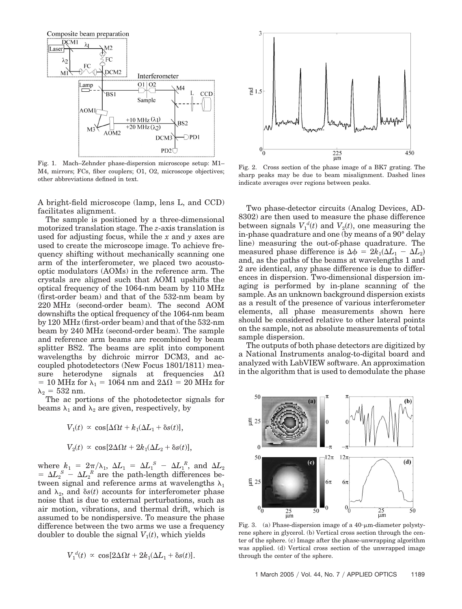

Fig. 1. Mach–Zehnder phase-dispersion microscope setup: M1– M4, mirrors; FCs, fiber couplers; O1, O2, microscope objectives; other abbreviations defined in text.

A bright-field microscope (lamp, lens L, and CCD) facilitates alignment.

The sample is positioned by a three-dimensional motorized translation stage. The *z*-axis translation is used for adjusting focus, while the *x* and *y* axes are used to create the microscope image. To achieve frequency shifting without mechanically scanning one arm of the interferometer, we placed two acoustooptic modulators (AOMs) in the reference arm. The crystals are aligned such that AOM1 upshifts the optical frequency of the 1064-nm beam by 110 MHz (first-order beam) and that of the 532-nm beam by 220 MHz (second-order beam). The second AOM downshifts the optical frequency of the 1064-nm beam by 120 MHz (first-order beam) and that of the 532-nm beam by 240 MHz (second-order beam). The sample and reference arm beams are recombined by beam splitter BS2. The beams are split into component wavelengths by dichroic mirror DCM3, and accoupled photodetectors (New Focus 1801/1811) measure heterodyne signals at frequencies  $\Delta\Omega$  $= 10$  MHz for  $\lambda_1 = 1064$  nm and  $2\Delta\Omega = 20$  MHz for  $\lambda_2 = 532$  nm.

The ac portions of the photodetector signals for beams  $\lambda_1$  and  $\lambda_2$  are given, respectively, by

$$
V_1(t) \propto \cos[\Delta\Omega t + k_1(\Delta L_1 + \delta s(t)],
$$

$$
V_2(t) \propto \cos[2\Delta\Omega t + 2k_1(\Delta L_2 + \delta s(t)],
$$

where  $k_1 = 2\pi/\lambda_1$ ,  $\Delta L_1 = \Delta L_1^S - \Delta L_1^R$ , and  $\Delta L_2$  $= \Delta L_2^S - \Delta L_2^R$  are the path-length differences between signal and reference arms at wavelengths  $\lambda_1$ and  $\lambda_2$ , and  $\delta s(t)$  accounts for interferometer phase noise that is due to external perturbations, such as air motion, vibrations, and thermal drift, which is assumed to be nondispersive. To measure the phase difference between the two arms we use a frequency doubler to double the signal  $V_1(t)$ , which yields

$$
V_1^d(t) \propto \cos[2\Delta\Omega t + 2k_1(\Delta L_1 + \delta s(t)).
$$



Fig. 2. Cross section of the phase image of a BK7 grating. The sharp peaks may be due to beam misalignment. Dashed lines indicate averages over regions between peaks.

Two phase-detector circuits (Analog Devices, AD-8302) are then used to measure the phase difference between signals  $V_1^d(t)$  and  $V_2(t)$ , one measuring the in-phase quadrature and one (by means of a 90° delay line) measuring the out-of-phase quadrature. The measured phase difference is  $\Delta \phi = 2k_1(\Delta L_1 - \Delta L_2)$ and, as the paths of the beams at wavelengths 1 and 2 are identical, any phase difference is due to differences in dispersion. Two-dimensional dispersion imaging is performed by in-plane scanning of the sample. As an unknown background dispersion exists as a result of the presence of various interferometer elements, all phase measurements shown here should be considered relative to other lateral points on the sample, not as absolute measurements of total sample dispersion.

The outputs of both phase detectors are digitized by a National Instruments analog-to-digital board and analyzed with LabVIEW software. An approximation in the algorithm that is used to demodulate the phase



Fig. 3. (a) Phase-dispersion image of a 40-µm-diameter polystyrene sphere in glycerol. (b) Vertical cross section through the center of the sphere. (c) Image after the phase-unwrapping algorithm was applied. (d) Vertical cross section of the unwrapped image through the center of the sphere.